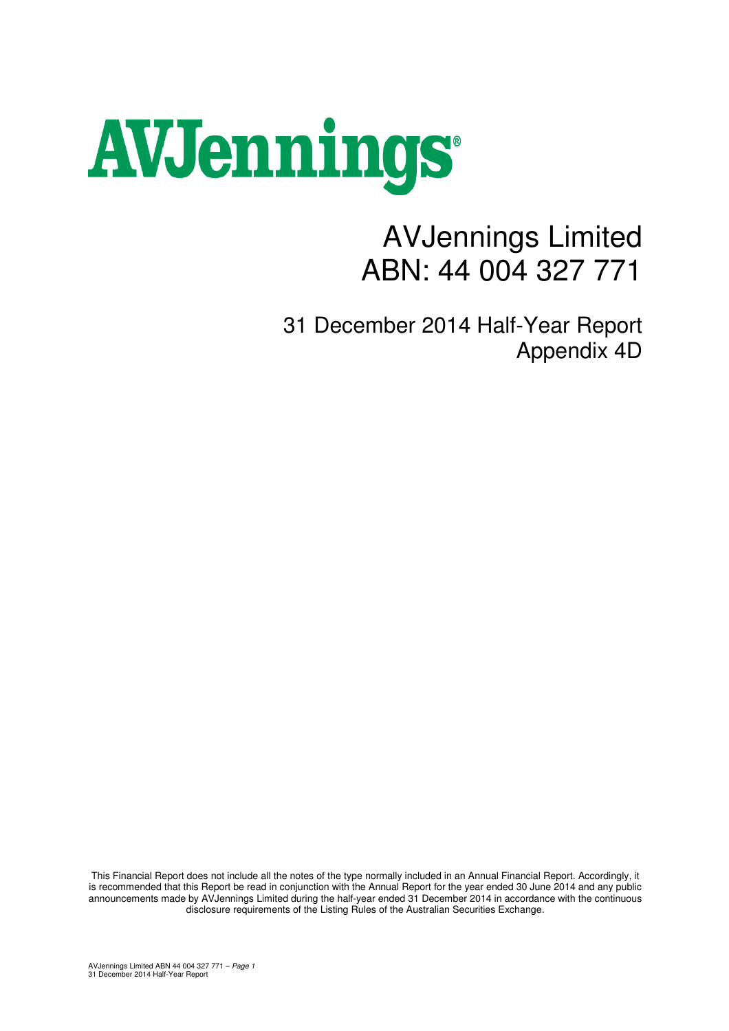# AVJennings

## AVJennings Limited ABN: 44 004 327 771

31 December 2014 Half-Year Report Appendix 4D

This Financial Report does not include all the notes of the type normally included in an Annual Financial Report. Accordingly, it is recommended that this Report be read in conjunction with the Annual Report for the year ended 30 June 2014 and any public announcements made by AVJennings Limited during the half-year ended 31 December 2014 in accordance with the continuous disclosure requirements of the Listing Rules of the Australian Securities Exchange.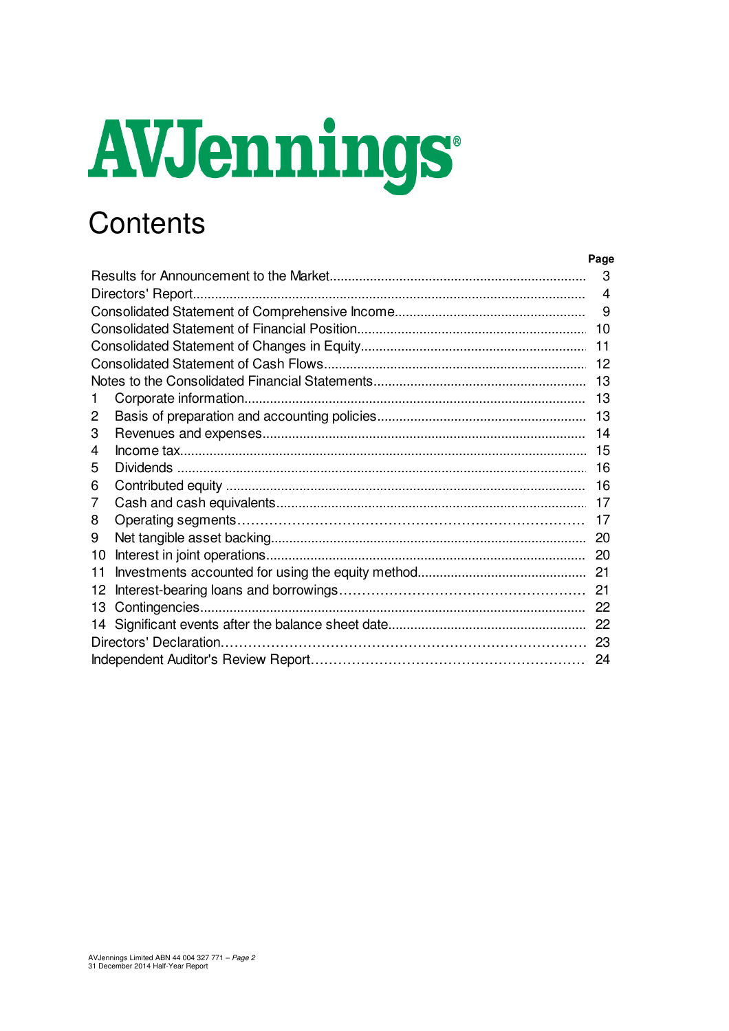# AVJennings

## Contents

|    |                    | Page                  |
|----|--------------------|-----------------------|
|    |                    | 3                     |
|    | Directors' Report. | $\boldsymbol{\Delta}$ |
|    |                    | 9                     |
|    |                    | 10                    |
|    |                    | 11                    |
|    |                    | 12                    |
|    |                    |                       |
|    |                    | 13                    |
| 2  |                    |                       |
| 3  |                    |                       |
| 4  |                    | 15                    |
| 5  |                    | 16                    |
| 6  |                    | 16                    |
| 7  |                    |                       |
| 8  |                    | 17                    |
| 9  |                    | -20                   |
| 10 |                    |                       |
| 11 |                    |                       |
| 12 |                    |                       |
| 13 |                    |                       |
| 14 |                    |                       |
|    |                    |                       |
|    |                    |                       |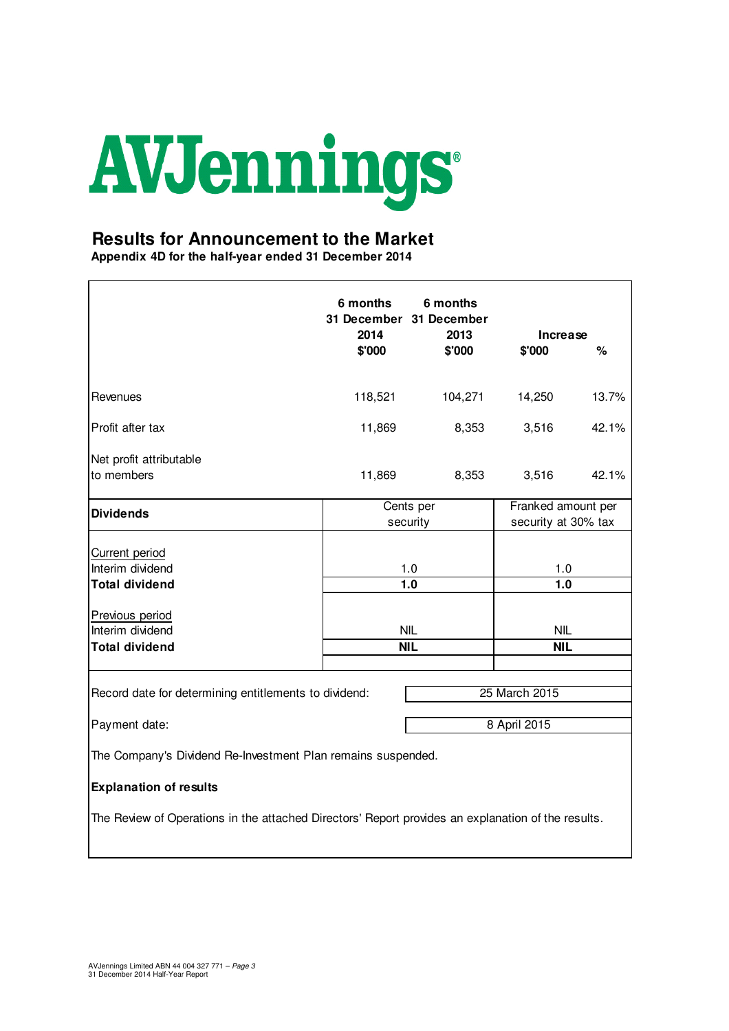

#### **Results for Announcement to the Market**

**Appendix 4D for the half-year ended 31 December 2014**

|                                                                                                    | 6 months<br>2014 | 6 months<br>31 December 31 December<br>2013 | Increase                                  |       |  |
|----------------------------------------------------------------------------------------------------|------------------|---------------------------------------------|-------------------------------------------|-------|--|
|                                                                                                    | \$'000           | \$'000                                      | \$'000                                    | $\%$  |  |
| Revenues                                                                                           | 118,521          | 104,271                                     | 14,250                                    | 13.7% |  |
| Profit after tax                                                                                   | 11,869           | 8,353                                       | 3,516                                     | 42.1% |  |
| Net profit attributable<br>to members                                                              | 11,869           | 8,353                                       | 3,516                                     | 42.1% |  |
| <b>Dividends</b>                                                                                   |                  | Cents per<br>security                       | Franked amount per<br>security at 30% tax |       |  |
| Current period<br>Interim dividend<br><b>Total dividend</b>                                        |                  | 1.0<br>1.0                                  | 1.0<br>1.0                                |       |  |
| Previous period<br>Interim dividend<br><b>Total dividend</b>                                       |                  | <b>NIL</b><br><b>NIL</b>                    | <b>NIL</b><br>NIL                         |       |  |
| Record date for determining entitlements to dividend:                                              |                  |                                             | 25 March 2015                             |       |  |
| Payment date:                                                                                      |                  |                                             | 8 April 2015                              |       |  |
| The Company's Dividend Re-Investment Plan remains suspended.                                       |                  |                                             |                                           |       |  |
| <b>Explanation of results</b>                                                                      |                  |                                             |                                           |       |  |
| The Review of Operations in the attached Directors' Report provides an explanation of the results. |                  |                                             |                                           |       |  |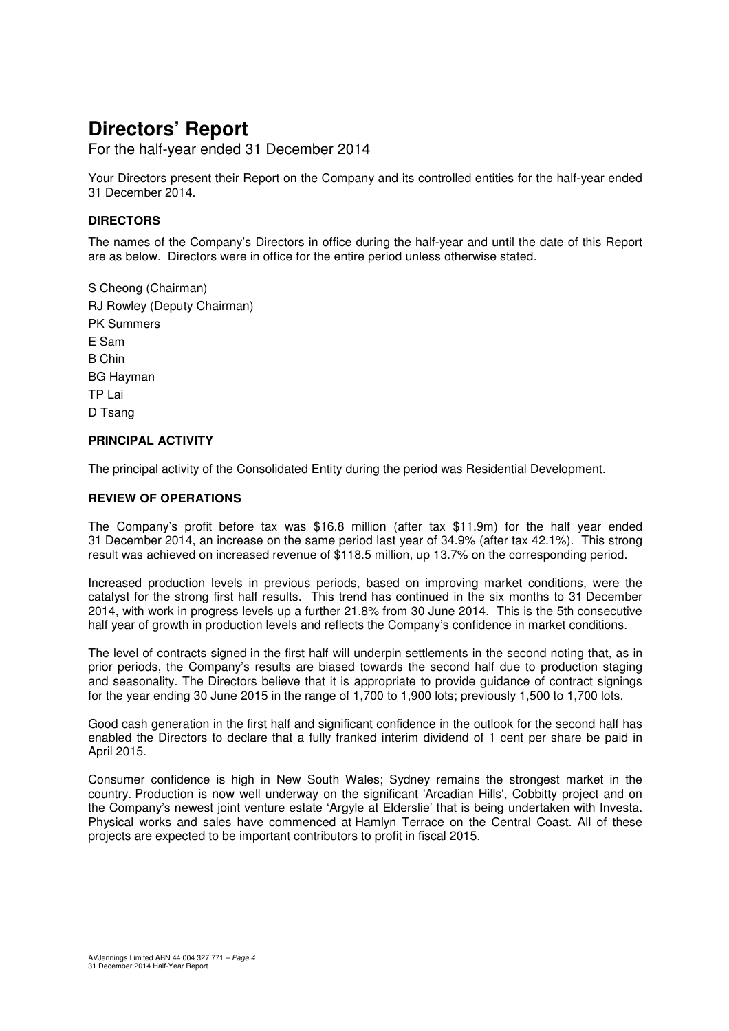For the half-year ended 31 December 2014

Your Directors present their Report on the Company and its controlled entities for the half-year ended 31 December 2014.

#### **DIRECTORS**

The names of the Company's Directors in office during the half-year and until the date of this Report are as below. Directors were in office for the entire period unless otherwise stated.

S Cheong (Chairman) RJ Rowley (Deputy Chairman) PK Summers E Sam B Chin BG Hayman TP Lai D Tsang

#### **PRINCIPAL ACTIVITY**

The principal activity of the Consolidated Entity during the period was Residential Development.

#### **REVIEW OF OPERATIONS**

The Company's profit before tax was \$16.8 million (after tax \$11.9m) for the half year ended 31 December 2014, an increase on the same period last year of 34.9% (after tax 42.1%). This strong result was achieved on increased revenue of \$118.5 million, up 13.7% on the corresponding period.

Increased production levels in previous periods, based on improving market conditions, were the catalyst for the strong first half results. This trend has continued in the six months to 31 December 2014, with work in progress levels up a further 21.8% from 30 June 2014. This is the 5th consecutive half year of growth in production levels and reflects the Company's confidence in market conditions.

The level of contracts signed in the first half will underpin settlements in the second noting that, as in prior periods, the Company's results are biased towards the second half due to production staging and seasonality. The Directors believe that it is appropriate to provide guidance of contract signings for the year ending 30 June 2015 in the range of 1,700 to 1,900 lots; previously 1,500 to 1,700 lots.

Good cash generation in the first half and significant confidence in the outlook for the second half has enabled the Directors to declare that a fully franked interim dividend of 1 cent per share be paid in April 2015.

Consumer confidence is high in New South Wales; Sydney remains the strongest market in the country. Production is now well underway on the significant 'Arcadian Hills', Cobbitty project and on the Company's newest joint venture estate 'Argyle at Elderslie' that is being undertaken with Investa. Physical works and sales have commenced at Hamlyn Terrace on the Central Coast. All of these projects are expected to be important contributors to profit in fiscal 2015.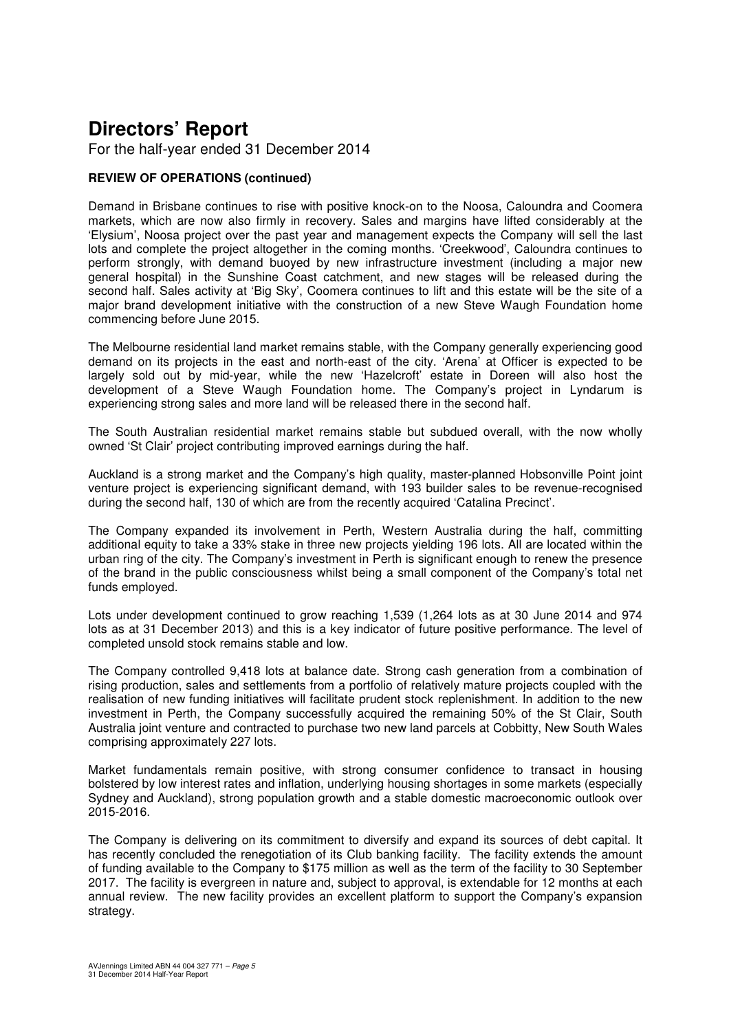For the half-year ended 31 December 2014

#### **REVIEW OF OPERATIONS (continued)**

Demand in Brisbane continues to rise with positive knock-on to the Noosa, Caloundra and Coomera markets, which are now also firmly in recovery. Sales and margins have lifted considerably at the 'Elysium', Noosa project over the past year and management expects the Company will sell the last lots and complete the project altogether in the coming months. 'Creekwood', Caloundra continues to perform strongly, with demand buoyed by new infrastructure investment (including a major new general hospital) in the Sunshine Coast catchment, and new stages will be released during the second half. Sales activity at 'Big Sky', Coomera continues to lift and this estate will be the site of a major brand development initiative with the construction of a new Steve Waugh Foundation home commencing before June 2015.

The Melbourne residential land market remains stable, with the Company generally experiencing good demand on its projects in the east and north-east of the city. 'Arena' at Officer is expected to be largely sold out by mid-year, while the new 'Hazelcroft' estate in Doreen will also host the development of a Steve Waugh Foundation home. The Company's project in Lyndarum is experiencing strong sales and more land will be released there in the second half.

The South Australian residential market remains stable but subdued overall, with the now wholly owned 'St Clair' project contributing improved earnings during the half.

Auckland is a strong market and the Company's high quality, master-planned Hobsonville Point joint venture project is experiencing significant demand, with 193 builder sales to be revenue-recognised during the second half, 130 of which are from the recently acquired 'Catalina Precinct'.

The Company expanded its involvement in Perth, Western Australia during the half, committing additional equity to take a 33% stake in three new projects yielding 196 lots. All are located within the urban ring of the city. The Company's investment in Perth is significant enough to renew the presence of the brand in the public consciousness whilst being a small component of the Company's total net funds employed.

Lots under development continued to grow reaching 1,539 (1,264 lots as at 30 June 2014 and 974 lots as at 31 December 2013) and this is a key indicator of future positive performance. The level of completed unsold stock remains stable and low.

The Company controlled 9,418 lots at balance date. Strong cash generation from a combination of rising production, sales and settlements from a portfolio of relatively mature projects coupled with the realisation of new funding initiatives will facilitate prudent stock replenishment. In addition to the new investment in Perth, the Company successfully acquired the remaining 50% of the St Clair, South Australia joint venture and contracted to purchase two new land parcels at Cobbitty, New South Wales comprising approximately 227 lots.

Market fundamentals remain positive, with strong consumer confidence to transact in housing bolstered by low interest rates and inflation, underlying housing shortages in some markets (especially Sydney and Auckland), strong population growth and a stable domestic macroeconomic outlook over 2015-2016.

The Company is delivering on its commitment to diversify and expand its sources of debt capital. It has recently concluded the renegotiation of its Club banking facility. The facility extends the amount of funding available to the Company to \$175 million as well as the term of the facility to 30 September 2017. The facility is evergreen in nature and, subject to approval, is extendable for 12 months at each annual review. The new facility provides an excellent platform to support the Company's expansion strategy.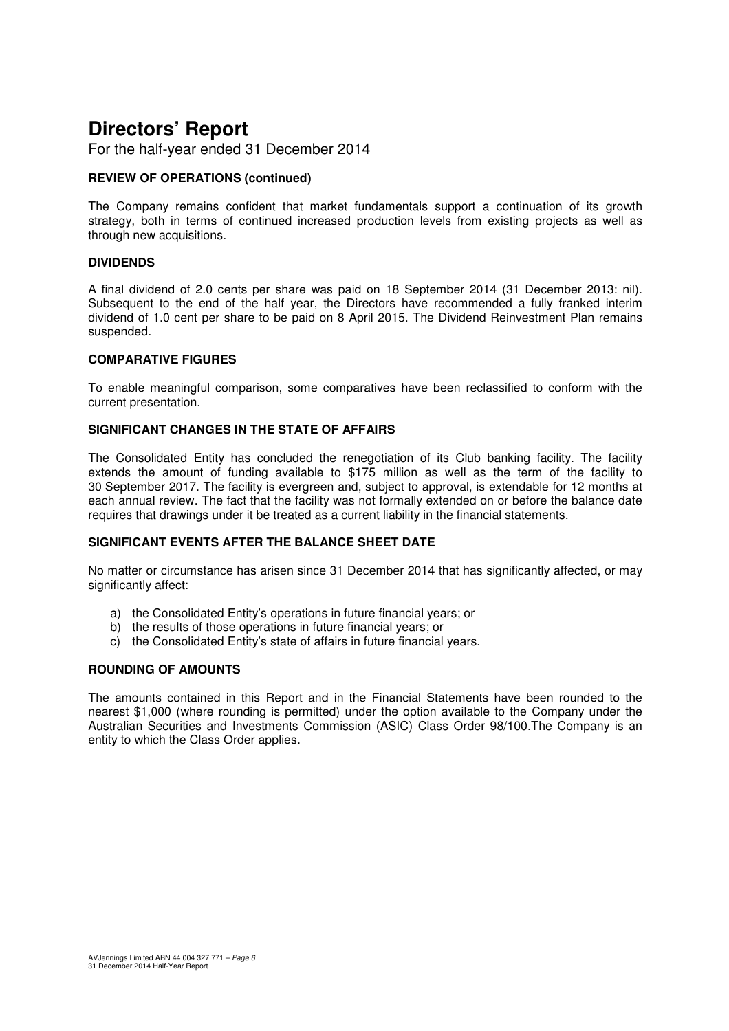For the half-year ended 31 December 2014

#### **REVIEW OF OPERATIONS (continued)**

The Company remains confident that market fundamentals support a continuation of its growth strategy, both in terms of continued increased production levels from existing projects as well as through new acquisitions.

#### **DIVIDENDS**

A final dividend of 2.0 cents per share was paid on 18 September 2014 (31 December 2013: nil). Subsequent to the end of the half year, the Directors have recommended a fully franked interim dividend of 1.0 cent per share to be paid on 8 April 2015. The Dividend Reinvestment Plan remains suspended.

#### **COMPARATIVE FIGURES**

To enable meaningful comparison, some comparatives have been reclassified to conform with the current presentation.

#### **SIGNIFICANT CHANGES IN THE STATE OF AFFAIRS**

The Consolidated Entity has concluded the renegotiation of its Club banking facility. The facility extends the amount of funding available to \$175 million as well as the term of the facility to 30 September 2017. The facility is evergreen and, subject to approval, is extendable for 12 months at each annual review. The fact that the facility was not formally extended on or before the balance date requires that drawings under it be treated as a current liability in the financial statements.

#### **SIGNIFICANT EVENTS AFTER THE BALANCE SHEET DATE**

No matter or circumstance has arisen since 31 December 2014 that has significantly affected, or may significantly affect:

- a) the Consolidated Entity's operations in future financial years; or
- b) the results of those operations in future financial years; or
- c) the Consolidated Entity's state of affairs in future financial years.

#### **ROUNDING OF AMOUNTS**

The amounts contained in this Report and in the Financial Statements have been rounded to the nearest \$1,000 (where rounding is permitted) under the option available to the Company under the Australian Securities and Investments Commission (ASIC) Class Order 98/100.The Company is an entity to which the Class Order applies.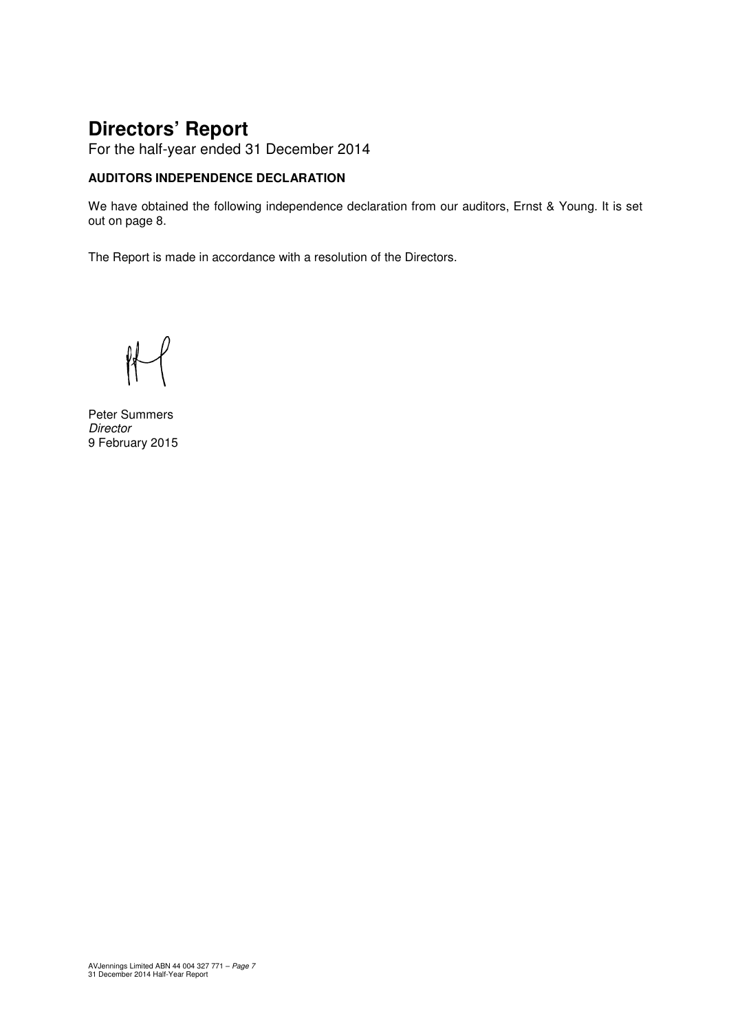For the half-year ended 31 December 2014

#### **AUDITORS INDEPENDENCE DECLARATION**

We have obtained the following independence declaration from our auditors, Ernst & Young. It is set out on page 8.

The Report is made in accordance with a resolution of the Directors.

Peter Summers **Director** 9 February 2015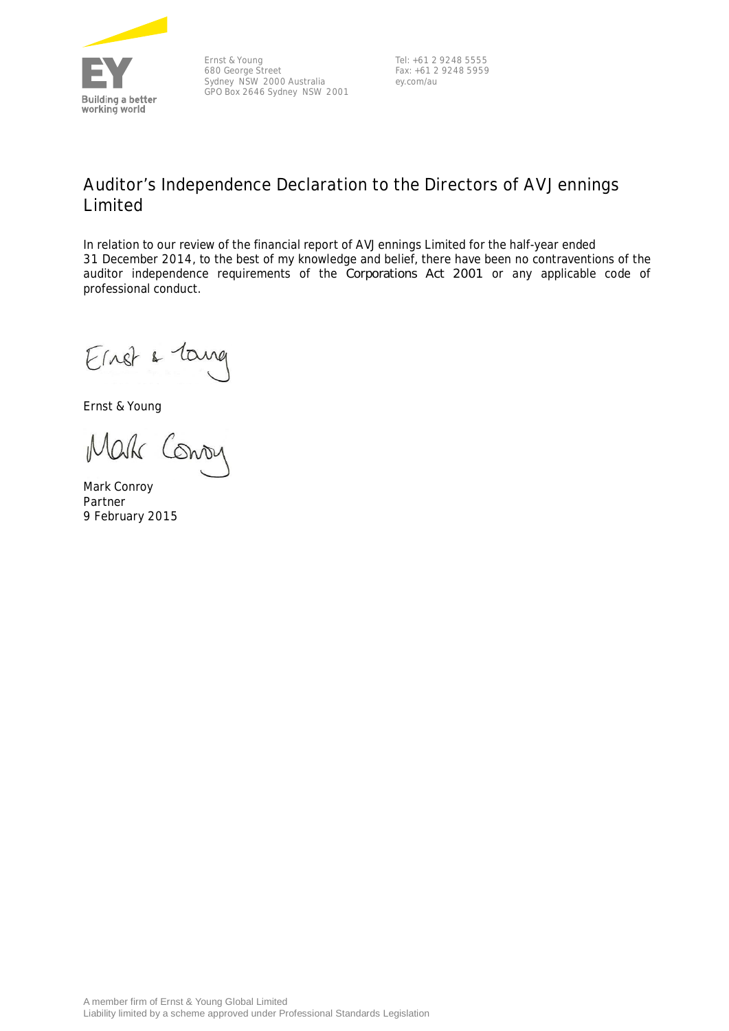

Ernst & Young 680 George Street Sydney NSW 2000 Australia GPO Box 2646 Sydney NSW 2001

Tel: +61 2 9248 5555 Fax: +61 2 9248 5959 ey.com/au

### **Auditor's Independence Declaration to the Directors of AVJennings Limited**

In relation to our review of the financial report of AVJennings Limited for the half-year ended 31 December 2014, to the best of my knowledge and belief, there have been no contraventions of the auditor independence requirements of the *Corporations Act 2001* or any applicable code of professional conduct.

Einst & Tang

Ernst & Young

Mak Conon

Mark Conroy Partner 9 February 2015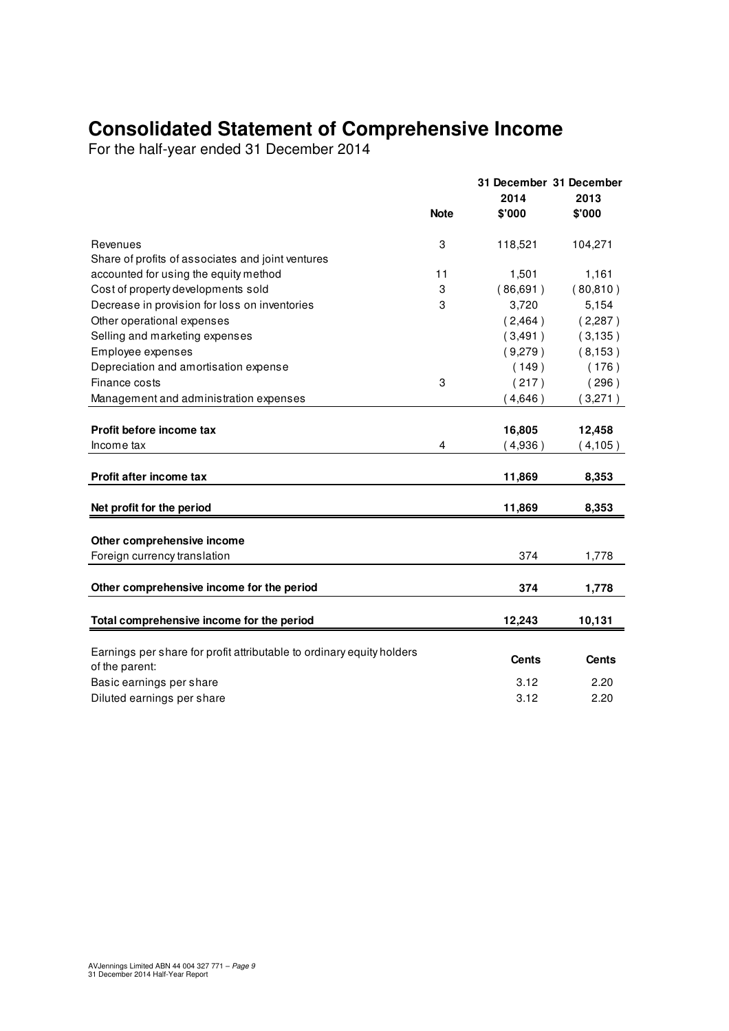## **Consolidated Statement of Comprehensive Income**

For the half-year ended 31 December 2014

|                                                                                         |             | 31 December 31 December<br>2014 | 2013         |
|-----------------------------------------------------------------------------------------|-------------|---------------------------------|--------------|
|                                                                                         | <b>Note</b> | \$'000                          | \$'000       |
| Revenues                                                                                | 3           | 118,521                         | 104,271      |
| Share of profits of associates and joint ventures                                       |             |                                 |              |
| accounted for using the equity method                                                   | 11          | 1,501                           | 1,161        |
| Cost of property developments sold                                                      | 3           | (86, 691)                       | (80, 810)    |
| Decrease in provision for loss on inventories                                           | 3           | 3,720                           | 5,154        |
| Other operational expenses                                                              |             | (2,464)                         | (2,287)      |
| Selling and marketing expenses                                                          |             | (3, 491)                        | (3, 135)     |
| Employee expenses                                                                       |             | (9,279)                         | (8, 153)     |
| Depreciation and amortisation expense                                                   |             | (149)                           | (176)        |
| Finance costs                                                                           | 3           | (217)                           | (296)        |
| Management and administration expenses                                                  |             | (4,646)                         | (3,271)      |
| Profit before income tax                                                                |             | 16,805                          | 12,458       |
| Income tax                                                                              | 4           | (4,936)                         | (4, 105)     |
| Profit after income tax                                                                 |             | 11,869                          | 8,353        |
| Net profit for the period                                                               |             | 11,869                          | 8,353        |
|                                                                                         |             |                                 |              |
| Other comprehensive income                                                              |             |                                 |              |
| Foreign currency translation                                                            |             | 374                             | 1,778        |
| Other comprehensive income for the period                                               |             | 374                             | 1,778        |
| Total comprehensive income for the period                                               |             | 12,243                          | 10,131       |
|                                                                                         |             |                                 |              |
| Earnings per share for profit attributable to ordinary equity holders<br>of the parent: |             | <b>Cents</b>                    | <b>Cents</b> |
| Basic earnings per share                                                                |             | 3.12                            | 2.20         |
| Diluted earnings per share                                                              |             | 3.12                            | 2.20         |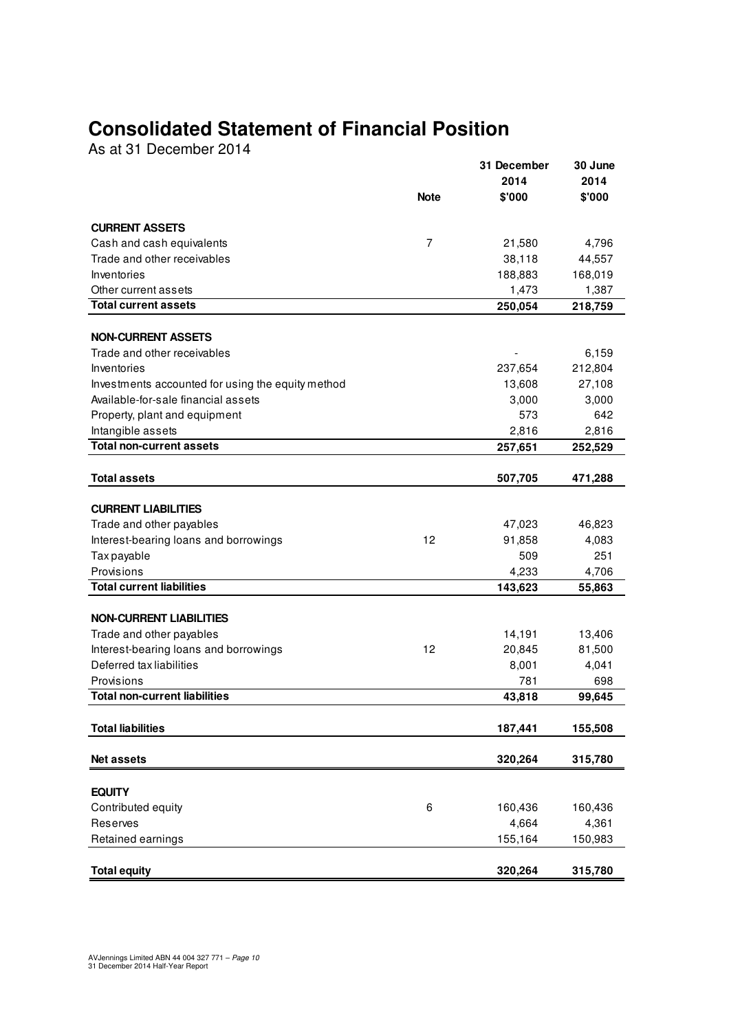## **Consolidated Statement of Financial Position**

As at 31 December 2014

|                                                   |                | 31 December    | 30 June        |
|---------------------------------------------------|----------------|----------------|----------------|
|                                                   | Note           | 2014<br>\$'000 | 2014<br>\$'000 |
|                                                   |                |                |                |
| <b>CURRENT ASSETS</b>                             |                |                |                |
| Cash and cash equivalents                         | $\overline{7}$ | 21,580         | 4,796          |
| Trade and other receivables                       |                | 38,118         | 44,557         |
| Inventories                                       |                | 188,883        | 168,019        |
| Other current assets                              |                | 1,473          | 1,387          |
| <b>Total current assets</b>                       |                | 250,054        | 218,759        |
|                                                   |                |                |                |
| <b>NON-CURRENT ASSETS</b>                         |                |                |                |
| Trade and other receivables                       |                |                | 6,159          |
| Inventories                                       |                | 237,654        | 212,804        |
| Investments accounted for using the equity method |                | 13,608         | 27,108         |
| Available-for-sale financial assets               |                | 3,000          | 3,000          |
| Property, plant and equipment                     |                | 573            | 642            |
| Intangible assets                                 |                | 2,816          | 2,816          |
| <b>Total non-current assets</b>                   |                | 257,651        | 252,529        |
| <b>Total assets</b>                               |                | 507,705        | 471,288        |
|                                                   |                |                |                |
| <b>CURRENT LIABILITIES</b>                        |                |                |                |
| Trade and other payables                          |                | 47,023         | 46,823         |
| Interest-bearing loans and borrowings             | 12             | 91,858         | 4,083          |
| Tax payable                                       |                | 509            | 251            |
| Provisions                                        |                | 4,233          | 4,706          |
| <b>Total current liabilities</b>                  |                | 143,623        | 55,863         |
|                                                   |                |                |                |
| <b>NON-CURRENT LIABILITIES</b>                    |                |                |                |
| Trade and other payables                          |                | 14,191         | 13,406         |
| Interest-bearing loans and borrowings             | 12             | 20,845         | 81,500         |
| Deferred tax liabilities                          |                | 8,001          | 4,041          |
| Provisions                                        |                | 781            | 698            |
| <b>Total non-current liabilities</b>              |                | 43,818         | 99,645         |
|                                                   |                |                |                |
| <b>Total liabilities</b>                          |                | 187,441        | 155,508        |
| Net assets                                        |                | 320,264        | 315,780        |
|                                                   |                |                |                |
| <b>EQUITY</b>                                     |                |                |                |
| Contributed equity                                | 6              | 160,436        | 160,436        |
| Reserves                                          |                | 4,664          | 4,361          |
| Retained earnings                                 |                | 155,164        | 150,983        |
|                                                   |                |                |                |
| <b>Total equity</b>                               |                | 320,264        | 315,780        |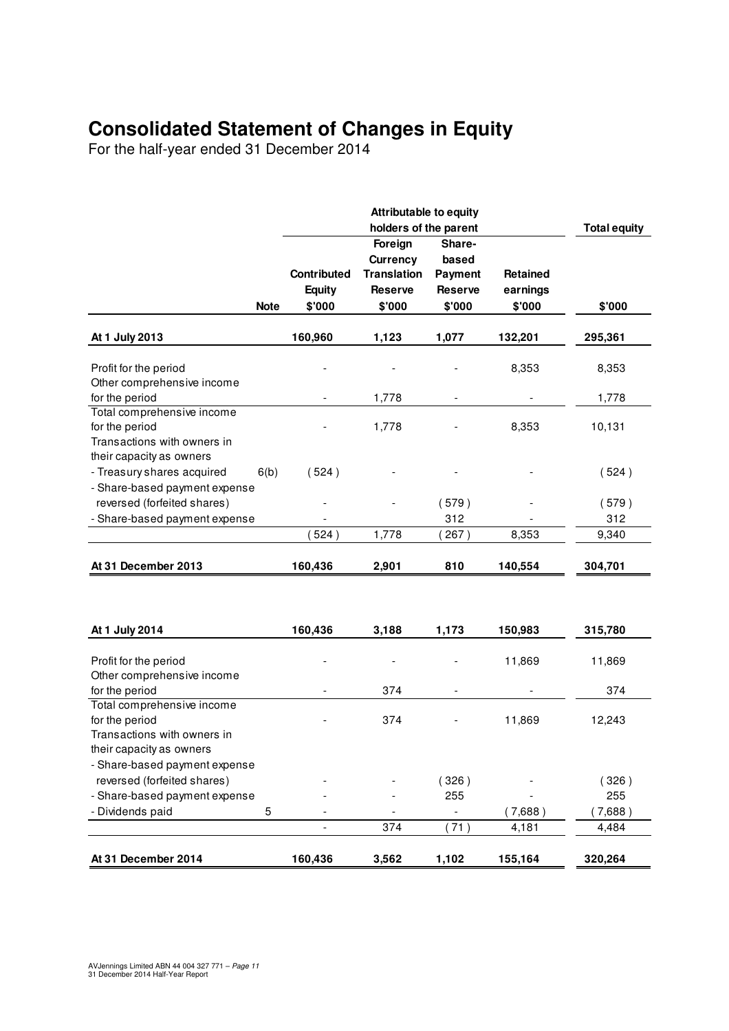## **Consolidated Statement of Changes in Equity**

For the half-year ended 31 December 2014

|                                                                                                         |                                        | <b>Attributable to equity</b><br>holders of the parent                |                                                               |                                | <b>Total equity</b> |
|---------------------------------------------------------------------------------------------------------|----------------------------------------|-----------------------------------------------------------------------|---------------------------------------------------------------|--------------------------------|---------------------|
| <b>Note</b>                                                                                             | Contributed<br><b>Equity</b><br>\$'000 | Foreign<br>Currency<br><b>Translation</b><br><b>Reserve</b><br>\$'000 | Share-<br>based<br><b>Payment</b><br><b>Reserve</b><br>\$'000 | Retained<br>earnings<br>\$'000 | \$'000              |
| At 1 July 2013                                                                                          | 160,960                                | 1,123                                                                 | 1,077                                                         | 132,201                        | 295,361             |
| Profit for the period<br>Other comprehensive income                                                     |                                        |                                                                       |                                                               | 8,353                          | 8,353               |
| for the period                                                                                          |                                        | 1,778                                                                 |                                                               |                                | 1,778               |
| Total comprehensive income<br>for the period<br>Transactions with owners in<br>their capacity as owners |                                        | 1,778                                                                 |                                                               | 8,353                          | 10,131              |
| - Treasury shares acquired<br>6(b)<br>- Share-based payment expense                                     | (524)                                  |                                                                       |                                                               |                                | (524)               |
| reversed (forfeited shares)                                                                             |                                        |                                                                       | (579)                                                         |                                | (579)               |
| - Share-based payment expense                                                                           |                                        |                                                                       | 312                                                           |                                | 312                 |
|                                                                                                         | 524)                                   | 1,778                                                                 | 267)                                                          | 8,353                          | 9,340               |
| At 31 December 2013                                                                                     | 160,436                                | 2,901                                                                 | 810                                                           | 140,554                        | 304,701             |
| At 1 July 2014                                                                                          | 160,436                                | 3,188                                                                 | 1,173                                                         | 150,983                        | 315,780             |
| Profit for the period                                                                                   |                                        |                                                                       |                                                               | 11,869                         | 11,869              |
| Other comprehensive income<br>for the period                                                            |                                        | 374                                                                   |                                                               |                                | 374                 |
| Total comprehensive income<br>for the period<br>Transactions with owners in                             |                                        | 374                                                                   |                                                               | 11,869                         | 12,243              |
| their capacity as owners<br>- Share-based payment expense<br>reversed (forfeited shares)                |                                        |                                                                       | (326)                                                         |                                | (326)               |
| - Share-based payment expense                                                                           |                                        |                                                                       | 255                                                           |                                | 255                 |
| Dividends paid<br>5                                                                                     |                                        |                                                                       |                                                               | 7,688)                         | 7,688)              |
|                                                                                                         |                                        | 374                                                                   | (71)                                                          | 4,181                          | 4,484               |
| At 31 December 2014                                                                                     | 160,436                                | 3,562                                                                 | 1,102                                                         | 155,164                        | 320,264             |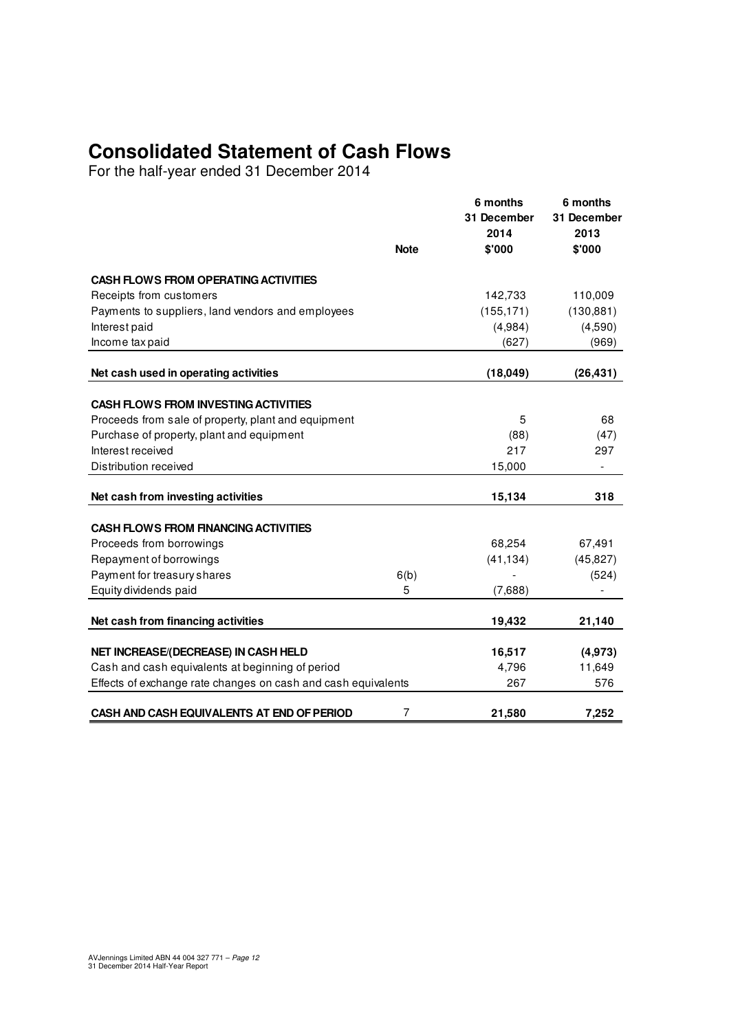## **Consolidated Statement of Cash Flows**

For the half-year ended 31 December 2014

|                                                               | <b>Note</b> | 6 months<br>31 December<br>2014<br>\$'000 | 6 months<br>31 December<br>2013<br>\$'000 |
|---------------------------------------------------------------|-------------|-------------------------------------------|-------------------------------------------|
| <b>CASH FLOWS FROM OPERATING ACTIVITIES</b>                   |             |                                           |                                           |
| Receipts from customers                                       |             | 142,733                                   | 110,009                                   |
| Payments to suppliers, land vendors and employees             |             | (155, 171)                                | (130, 881)                                |
| Interest paid                                                 |             | (4,984)                                   | (4,590)                                   |
| Income tax paid                                               |             | (627)                                     | (969)                                     |
| Net cash used in operating activities                         |             | (18,049)                                  | (26, 431)                                 |
|                                                               |             |                                           |                                           |
| <b>CASH FLOWS FROM INVESTING ACTIVITIES</b>                   |             |                                           |                                           |
| Proceeds from sale of property, plant and equipment           |             | 5                                         | 68                                        |
| Purchase of property, plant and equipment                     |             | (88)                                      | (47)                                      |
| Interest received                                             |             | 217                                       | 297                                       |
| Distribution received                                         |             | 15,000                                    |                                           |
| Net cash from investing activities                            |             | 15,134                                    | 318                                       |
| <b>CASH FLOWS FROM FINANCING ACTIVITIES</b>                   |             |                                           |                                           |
| Proceeds from borrowings                                      |             | 68,254                                    | 67,491                                    |
| Repayment of borrowings                                       |             | (41, 134)                                 | (45, 827)                                 |
| Payment for treasury shares                                   | 6(b)        |                                           | (524)                                     |
| Equity dividends paid                                         | 5           | (7,688)                                   |                                           |
| Net cash from financing activities                            |             | 19,432                                    | 21,140                                    |
| NET INCREASE/(DECREASE) IN CASH HELD                          |             | 16,517                                    | (4, 973)                                  |
| Cash and cash equivalents at beginning of period              |             | 4,796                                     | 11,649                                    |
| Effects of exchange rate changes on cash and cash equivalents |             | 267                                       | 576                                       |
| CASH AND CASH EQUIVALENTS AT END OF PERIOD                    | 7           | 21,580                                    | 7,252                                     |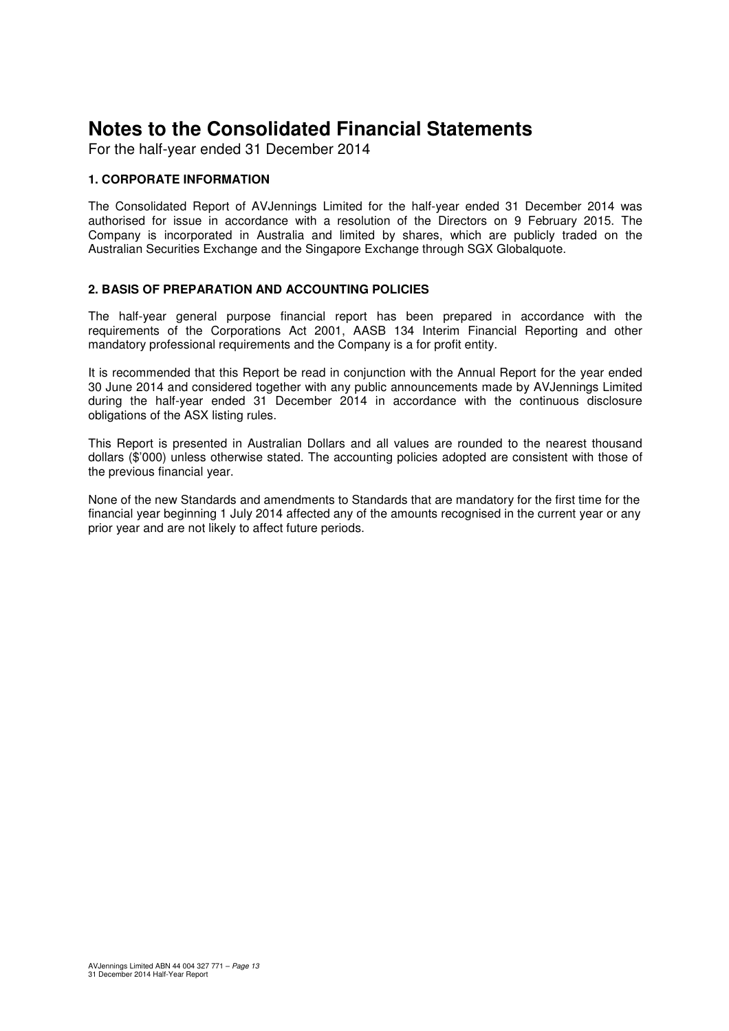For the half-year ended 31 December 2014

#### **1. CORPORATE INFORMATION**

The Consolidated Report of AVJennings Limited for the half-year ended 31 December 2014 was authorised for issue in accordance with a resolution of the Directors on 9 February 2015. The Company is incorporated in Australia and limited by shares, which are publicly traded on the Australian Securities Exchange and the Singapore Exchange through SGX Globalquote.

#### **2. BASIS OF PREPARATION AND ACCOUNTING POLICIES**

The half-year general purpose financial report has been prepared in accordance with the requirements of the Corporations Act 2001, AASB 134 Interim Financial Reporting and other mandatory professional requirements and the Company is a for profit entity.

It is recommended that this Report be read in conjunction with the Annual Report for the year ended 30 June 2014 and considered together with any public announcements made by AVJennings Limited during the half-year ended 31 December 2014 in accordance with the continuous disclosure obligations of the ASX listing rules.

This Report is presented in Australian Dollars and all values are rounded to the nearest thousand dollars (\$'000) unless otherwise stated. The accounting policies adopted are consistent with those of the previous financial year.

None of the new Standards and amendments to Standards that are mandatory for the first time for the financial year beginning 1 July 2014 affected any of the amounts recognised in the current year or any prior year and are not likely to affect future periods.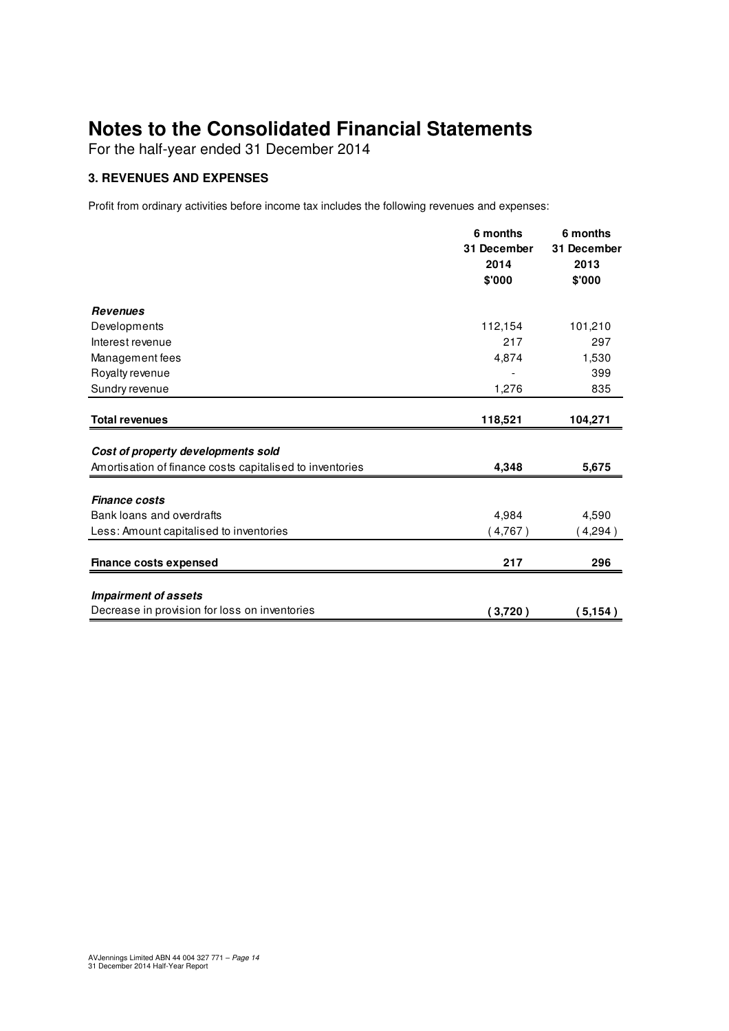For the half-year ended 31 December 2014

#### **3. REVENUES AND EXPENSES**

Profit from ordinary activities before income tax includes the following revenues and expenses:

|                                                                              | 6 months<br>31 December | 6 months<br>31 December |
|------------------------------------------------------------------------------|-------------------------|-------------------------|
|                                                                              | 2014<br>\$'000          | 2013<br>\$'000          |
| <b>Revenues</b>                                                              |                         |                         |
| Developments                                                                 | 112,154                 | 101,210                 |
| Interest revenue                                                             | 217                     | 297                     |
| Management fees                                                              | 4,874                   | 1,530                   |
| Royalty revenue                                                              |                         | 399                     |
| Sundry revenue                                                               | 1,276                   | 835                     |
| <b>Total revenues</b>                                                        | 118,521                 | 104,271                 |
| Cost of property developments sold                                           |                         |                         |
| Amortisation of finance costs capitalised to inventories                     | 4,348                   | 5,675                   |
| <b>Finance costs</b>                                                         |                         |                         |
| Bank loans and overdrafts                                                    | 4,984                   | 4,590                   |
| Less: Amount capitalised to inventories                                      | (4,767)                 | (4,294)                 |
| <b>Finance costs expensed</b>                                                | 217                     | 296                     |
|                                                                              |                         |                         |
| <b>Impairment of assets</b><br>Decrease in provision for loss on inventories | (3,720)                 | (5, 154)                |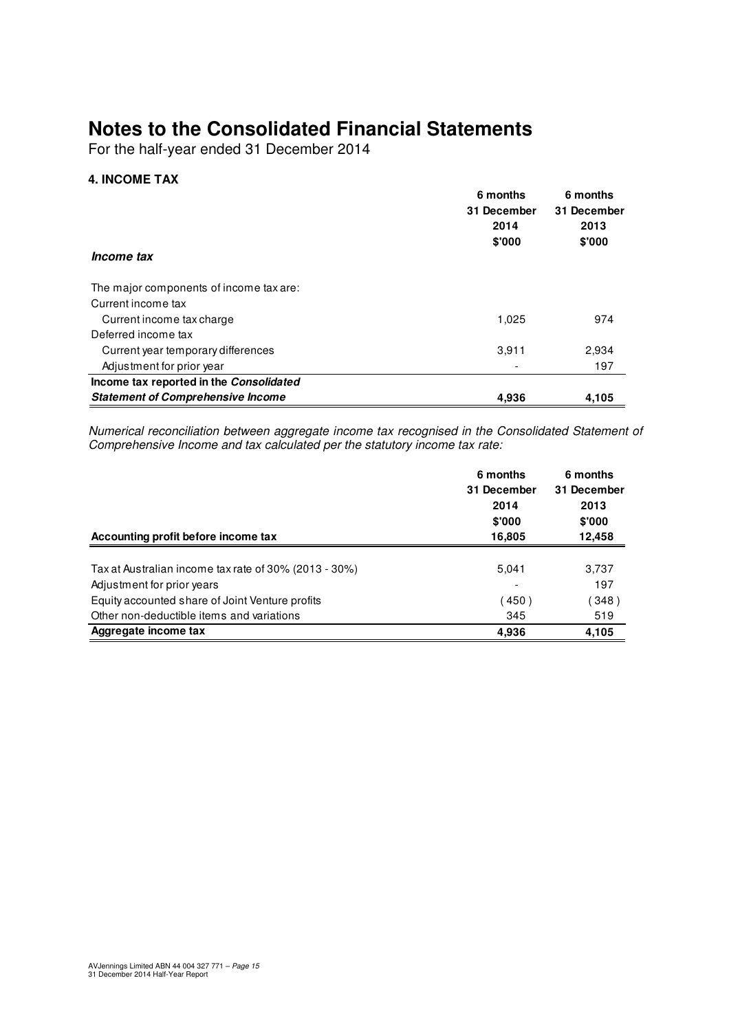For the half-year ended 31 December 2014

#### **4. INCOME TAX**

| <i>Income tax</i>                        | 6 months<br>31 December<br>2014<br>\$'000 | 6 months<br>31 December<br>2013<br>\$'000 |
|------------------------------------------|-------------------------------------------|-------------------------------------------|
| The major components of income tax are:  |                                           |                                           |
| Current income tax                       |                                           |                                           |
| Current income tax charge                | 1.025                                     | 974                                       |
| Deferred income tax                      |                                           |                                           |
| Current year temporary differences       | 3,911                                     | 2,934                                     |
| Adjustment for prior year                |                                           | 197                                       |
| Income tax reported in the Consolidated  |                                           |                                           |
| <b>Statement of Comprehensive Income</b> | 4.936                                     | 4,105                                     |

Numerical reconciliation between aggregate income tax recognised in the Consolidated Statement of Comprehensive Income and tax calculated per the statutory income tax rate:

|                                                       | 6 months    | 6 months    |  |
|-------------------------------------------------------|-------------|-------------|--|
|                                                       | 31 December | 31 December |  |
|                                                       | 2014        | 2013        |  |
|                                                       | \$'000      | \$'000      |  |
| Accounting profit before income tax                   | 16,805      | 12,458      |  |
| Tax at Australian income tax rate of 30% (2013 - 30%) | 5,041       | 3,737       |  |
| Adjustment for prior years                            |             | 197         |  |
| Equity accounted share of Joint Venture profits       | 450)        | 348)        |  |
| Other non-deductible items and variations             | 345         | 519         |  |
| Aggregate income tax                                  | 4,936       | 4,105       |  |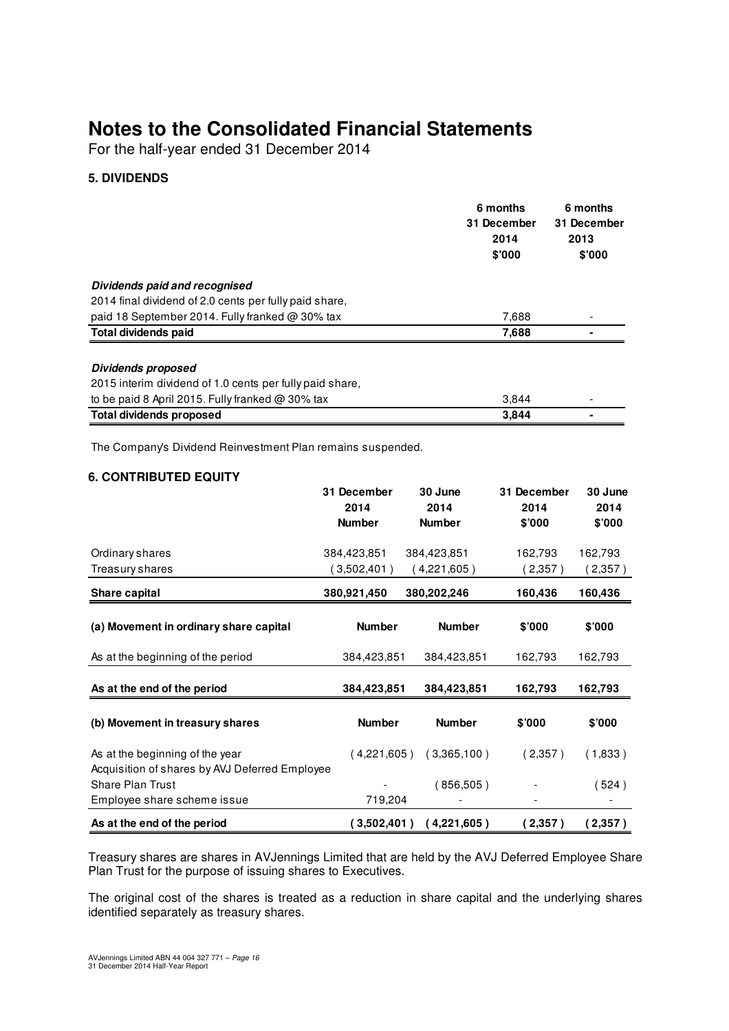For the half-year ended 31 December 2014

#### **5. DIVIDENDS**

|                                                          | 6 months<br>31 December<br>2014<br>\$'000 | 6 months<br>31 December<br>2013<br>\$'000 |
|----------------------------------------------------------|-------------------------------------------|-------------------------------------------|
| Dividends paid and recognised                            |                                           |                                           |
| 2014 final dividend of 2.0 cents per fully paid share,   |                                           |                                           |
| paid 18 September 2014. Fully franked @ 30% tax          | 7,688                                     |                                           |
| Total dividends paid                                     | 7,688                                     |                                           |
| <b>Dividends proposed</b>                                |                                           |                                           |
| 2015 interim dividend of 1.0 cents per fully paid share, |                                           |                                           |
| to be paid 8 April 2015. Fully franked @ 30% tax         | 3,844                                     |                                           |
| <b>Total dividends proposed</b>                          | 3.844                                     |                                           |

The Company's Dividend Reinvestment Plan remains suspended.

#### **6. CONTRIBUTED EQUITY**

|                                                                                   | 31 December<br>2014 | 30 June<br>2014 | 31 December<br>2014 | 30 June<br>2014 |
|-----------------------------------------------------------------------------------|---------------------|-----------------|---------------------|-----------------|
|                                                                                   | <b>Number</b>       | <b>Number</b>   | \$'000              | \$7000          |
| Ordinary shares                                                                   | 384,423,851         | 384,423,851     | 162,793             | 162,793         |
| Treasury shares                                                                   | (3,502,401)         | ( 4,221,605 )   | (2,357)             | (2,357)         |
| Share capital                                                                     | 380,921,450         | 380,202,246     | 160,436             | 160,436         |
| (a) Movement in ordinary share capital                                            | <b>Number</b>       | <b>Number</b>   | \$'000              | \$'000          |
| As at the beginning of the period                                                 | 384,423,851         | 384,423,851     | 162,793             | 162,793         |
| As at the end of the period                                                       | 384,423,851         | 384,423,851     | 162,793             | 162,793         |
| (b) Movement in treasury shares                                                   | <b>Number</b>       | <b>Number</b>   | \$'000              | \$'000          |
| As at the beginning of the year<br>Acquisition of shares by AVJ Deferred Employee | (4.221.605)         | (3,365,100)     | (2,357)             | (1,833)         |
| <b>Share Plan Trust</b>                                                           |                     | (856,505)       |                     | (524)           |
| Employee share scheme issue                                                       | 719,204             |                 |                     |                 |
| As at the end of the period                                                       | (3,502,401)         | (4,221,605)     | (2,357)             | (2,357)         |

Treasury shares are shares in AVJennings Limited that are held by the AVJ Deferred Employee Share Plan Trust for the purpose of issuing shares to Executives.

The original cost of the shares is treated as a reduction in share capital and the underlying shares identified separately as treasury shares.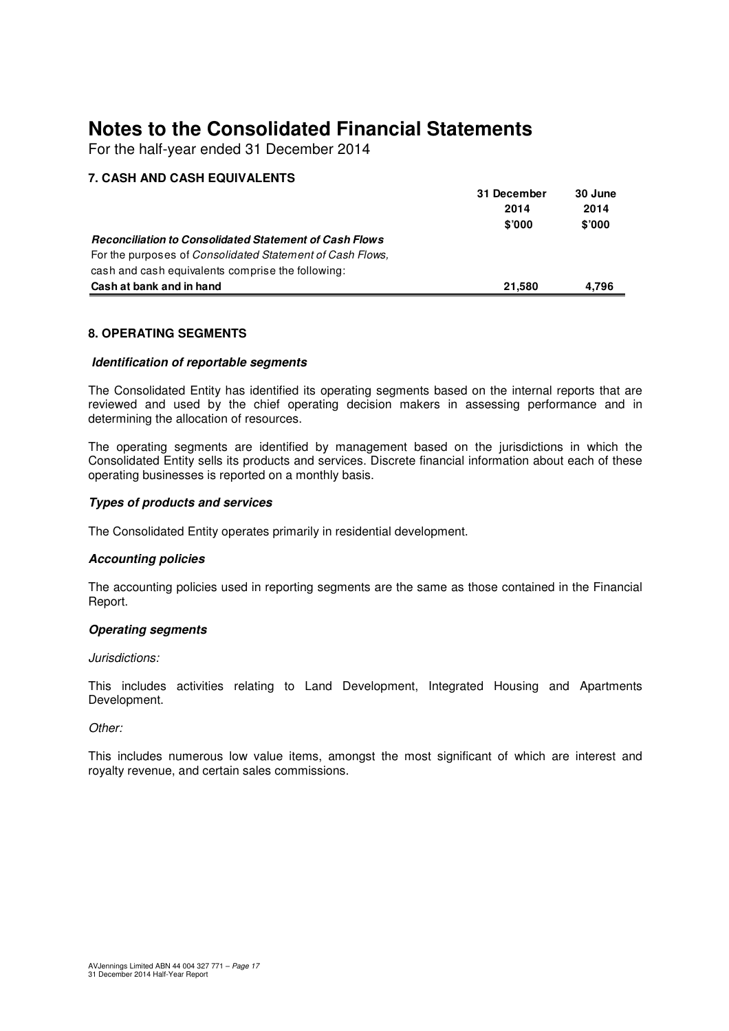For the half-year ended 31 December 2014

#### **7. CASH AND CASH EQUIVALENTS**

|                                                               | 31 December | 30 June |
|---------------------------------------------------------------|-------------|---------|
|                                                               | 2014        | 2014    |
|                                                               | \$'000      | \$'000  |
| <b>Reconciliation to Consolidated Statement of Cash Flows</b> |             |         |
| For the purposes of Consolidated Statement of Cash Flows,     |             |         |
| cash and cash equivalents comprise the following:             |             |         |
| Cash at bank and in hand                                      | 21.580      | 4.796   |

#### **8. OPERATING SEGMENTS**

#### **Identification of reportable segments**

The Consolidated Entity has identified its operating segments based on the internal reports that are reviewed and used by the chief operating decision makers in assessing performance and in determining the allocation of resources.

The operating segments are identified by management based on the jurisdictions in which the Consolidated Entity sells its products and services. Discrete financial information about each of these operating businesses is reported on a monthly basis.

#### **Types of products and services**

The Consolidated Entity operates primarily in residential development.

#### **Accounting policies**

The accounting policies used in reporting segments are the same as those contained in the Financial Report.

#### **Operating segments**

#### Jurisdictions:

This includes activities relating to Land Development, Integrated Housing and Apartments Development.

#### Other:

This includes numerous low value items, amongst the most significant of which are interest and royalty revenue, and certain sales commissions.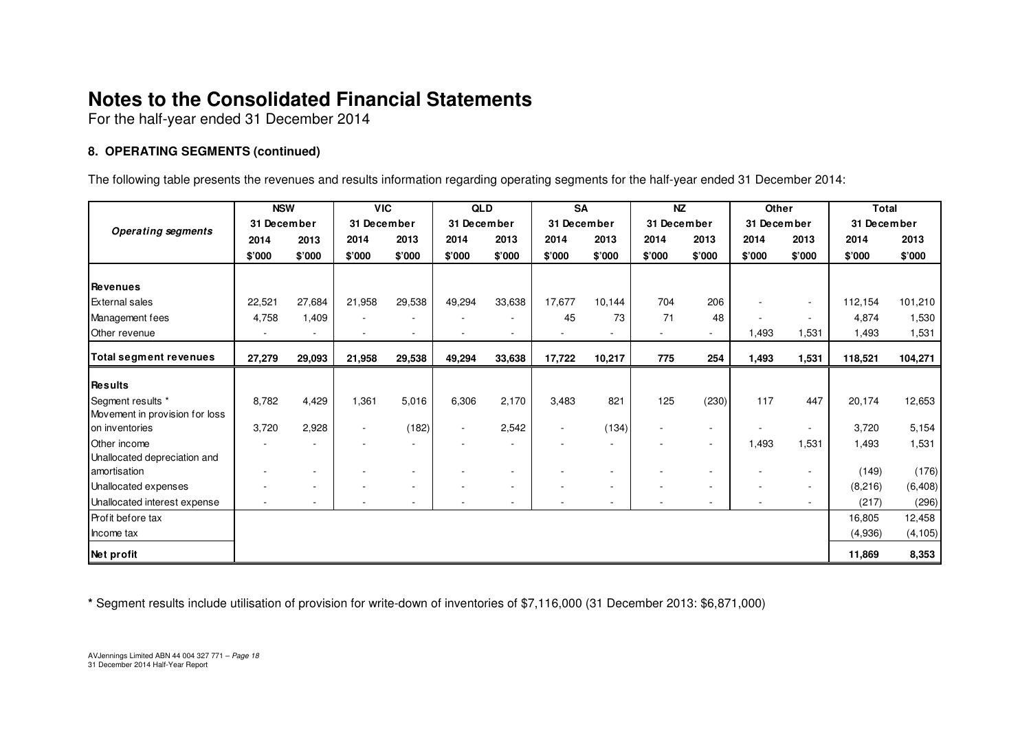For the half-year ended 31 December 2014

#### **8. OPERATING SEGMENTS (continued)**

The following table presents the revenues and results information regarding operating segments for the half-year ended 31 December 2014:

|                                | <b>NSW</b>  |        | <b>VIC</b>               |                          | QLD         |                          | <b>SA</b>                |                          | <b>NZ</b>                |                          | Other       |        | <b>Total</b> |          |
|--------------------------------|-------------|--------|--------------------------|--------------------------|-------------|--------------------------|--------------------------|--------------------------|--------------------------|--------------------------|-------------|--------|--------------|----------|
| <b>Operating segments</b>      | 31 December |        | 31 December              |                          | 31 December |                          | 31 December              |                          | 31 December              |                          | 31 December |        | 31 December  |          |
|                                | 2014        | 2013   | 2014                     | 2013                     | 2014        | 2013                     | 2014                     | 2013                     | 2014                     | 2013                     | 2014        | 2013   | 2014         | 2013     |
|                                | \$'000      | \$'000 | \$'000                   | \$'000                   | \$'000      | \$'000                   | \$'000                   | \$'000                   | \$'000                   | \$'000                   | \$'000      | \$'000 | \$'000       | \$'000   |
|                                |             |        |                          |                          |             |                          |                          |                          |                          |                          |             |        |              |          |
| <b>Revenues</b>                |             |        |                          |                          |             |                          |                          |                          |                          |                          |             |        |              |          |
| <b>External sales</b>          | 22,521      | 27,684 | 21,958                   | 29,538                   | 49,294      | 33,638                   | 17,677                   | 10,144                   | 704                      | 206                      |             | $\sim$ | 112,154      | 101,210  |
| Management fees                | 4,758       | 1,409  | $\overline{\phantom{a}}$ |                          |             |                          | 45                       | 73                       | 71                       | 48                       |             | $\sim$ | 4.874        | 1,530    |
| Other revenue                  |             | ۰      | $\sim$                   | $\overline{\phantom{a}}$ | ٠           | $\overline{\phantom{a}}$ |                          | $\blacksquare$           | $\sim$                   | $\sim$                   | 1,493       | 1,531  | 1,493        | 1,531    |
| <b>Total segment revenues</b>  | 27,279      | 29,093 | 21,958                   | 29,538                   | 49,294      | 33,638                   | 17,722                   | 10,217                   | 775                      | 254                      | 1,493       | 1,531  | 118,521      | 104,271  |
|                                |             |        |                          |                          |             |                          |                          |                          |                          |                          |             |        |              |          |
| <b>Results</b>                 |             |        |                          |                          |             |                          |                          |                          |                          |                          |             |        |              |          |
| Segment results *              | 8,782       | 4,429  | 1,361                    | 5,016                    | 6,306       | 2,170                    | 3,483                    | 821                      | 125                      | (230)                    | 117         | 447    | 20,174       | 12,653   |
| Movement in provision for loss |             |        |                          |                          |             |                          |                          |                          |                          |                          |             |        |              |          |
| on inventories                 | 3,720       | 2,928  | $\overline{\phantom{a}}$ | (182)                    | ٠           | 2,542                    | $\overline{\phantom{a}}$ | (134)                    | $\overline{\phantom{a}}$ | $\overline{\phantom{a}}$ |             | $\sim$ | 3,720        | 5,154    |
| Other income                   |             | ۰      |                          |                          |             |                          |                          | $\sim$                   |                          | $\overline{\phantom{a}}$ | 1,493       | 1,531  | 1,493        | 1,531    |
| Unallocated depreciation and   |             |        |                          |                          |             |                          |                          |                          |                          |                          |             |        |              |          |
| amortisation                   |             |        |                          |                          |             |                          |                          |                          |                          |                          |             |        | (149)        | (176)    |
| Unallocated expenses           |             | ۰      |                          |                          |             |                          |                          | $\overline{\phantom{a}}$ |                          | $\overline{\phantom{a}}$ |             | $\sim$ | (8,216)      | (6, 408) |
| Unallocated interest expense   |             | ٠      |                          | $\overline{\phantom{a}}$ |             |                          |                          | $\overline{\phantom{a}}$ |                          | $\overline{a}$           |             | $\sim$ | (217)        | (296)    |
| Profit before tax              |             |        |                          |                          |             |                          |                          |                          |                          |                          |             |        | 16,805       | 12,458   |
| Income tax                     |             |        |                          |                          |             |                          |                          |                          |                          |                          |             |        | (4,936)      | (4, 105) |
| Net profit                     |             |        |                          |                          |             |                          |                          |                          |                          |                          |             |        | 11,869       | 8,353    |

**\*** Segment results include utilisation of provision for write-down of inventories of \$7,116,000 (31 December 2013: \$6,871,000)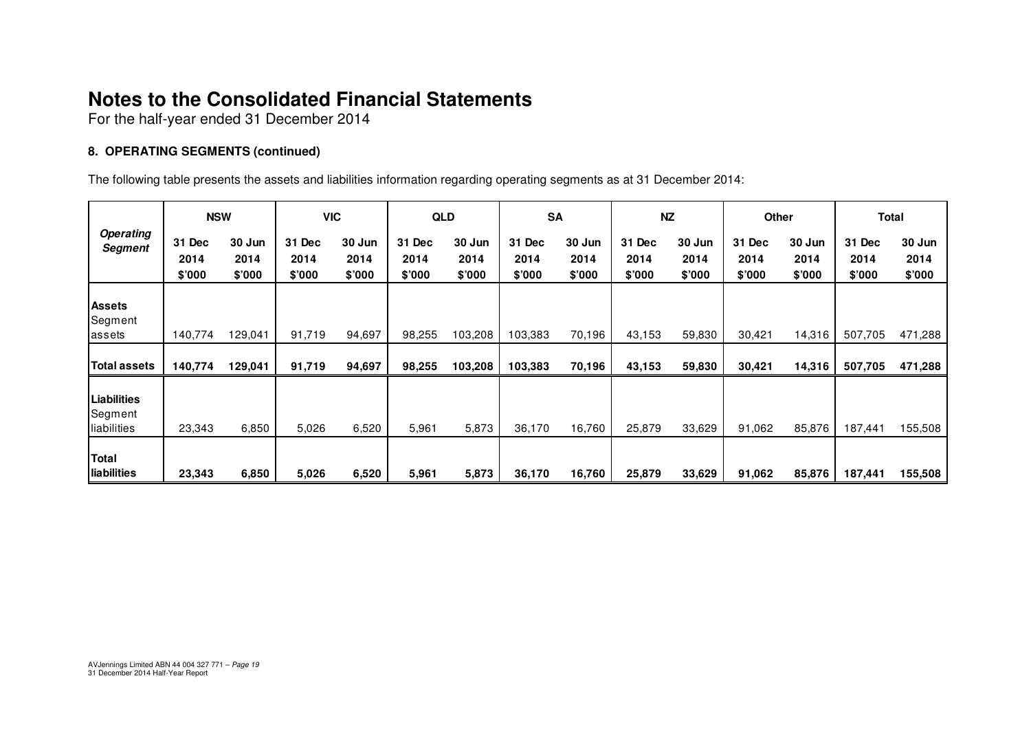For the half-year ended 31 December 2014

#### **8. OPERATING SEGMENTS (continued)**

The following table presents the assets and liabilities information regarding operating segments as at 31 December 2014:

| <b>Operating</b><br>Segment           | <b>NSW</b>               |                          | <b>VIC</b>               |                          | <b>QLD</b>               |                          | <b>SA</b>                |                          | <b>NZ</b>                |                          | Other                    |                          | Total                    |                          |
|---------------------------------------|--------------------------|--------------------------|--------------------------|--------------------------|--------------------------|--------------------------|--------------------------|--------------------------|--------------------------|--------------------------|--------------------------|--------------------------|--------------------------|--------------------------|
|                                       | 31 Dec<br>2014<br>\$'000 | 30 Jun<br>2014<br>\$'000 | 31 Dec<br>2014<br>\$'000 | 30 Jun<br>2014<br>\$'000 | 31 Dec<br>2014<br>\$'000 | 30 Jun<br>2014<br>\$'000 | 31 Dec<br>2014<br>\$'000 | 30 Jun<br>2014<br>\$'000 | 31 Dec<br>2014<br>\$'000 | 30 Jun<br>2014<br>\$'000 | 31 Dec<br>2014<br>\$'000 | 30 Jun<br>2014<br>\$'000 | 31 Dec<br>2014<br>\$'000 | 30 Jun<br>2014<br>\$'000 |
| <b>Assets</b><br>Segment<br>assets    | 140,774                  | 129,041                  | 91,719                   | 94,697                   | 98,255                   | 103,208                  | 103,383                  | 70,196                   | 43,153                   | 59,830                   | 30,421                   | 14,316                   | 507,705                  | 471,288                  |
| Total assets                          | 140,774                  | 129,041                  | 91,719                   | 94,697                   | 98,255                   | 103,208                  | 103,383                  | 70,196                   | 43,153                   | 59,830                   | 30,421                   | 14,316                   | 507,705                  | 471,288                  |
| Liabilities<br>Segment<br>liabilities | 23,343                   | 6,850                    | 5,026                    | 6,520                    | 5,961                    | 5,873                    | 36,170                   | 16,760                   | 25,879                   | 33,629                   | 91,062                   | 85,876                   | 187,441                  | 155,508                  |
| Total<br>liabilities                  | 23,343                   | 6,850                    | 5,026                    | 6,520                    | 5,961                    | 5,873                    | 36,170                   | 16,760                   | 25,879                   | 33,629                   | 91,062                   | 85,876                   | 187,441                  | 155,508                  |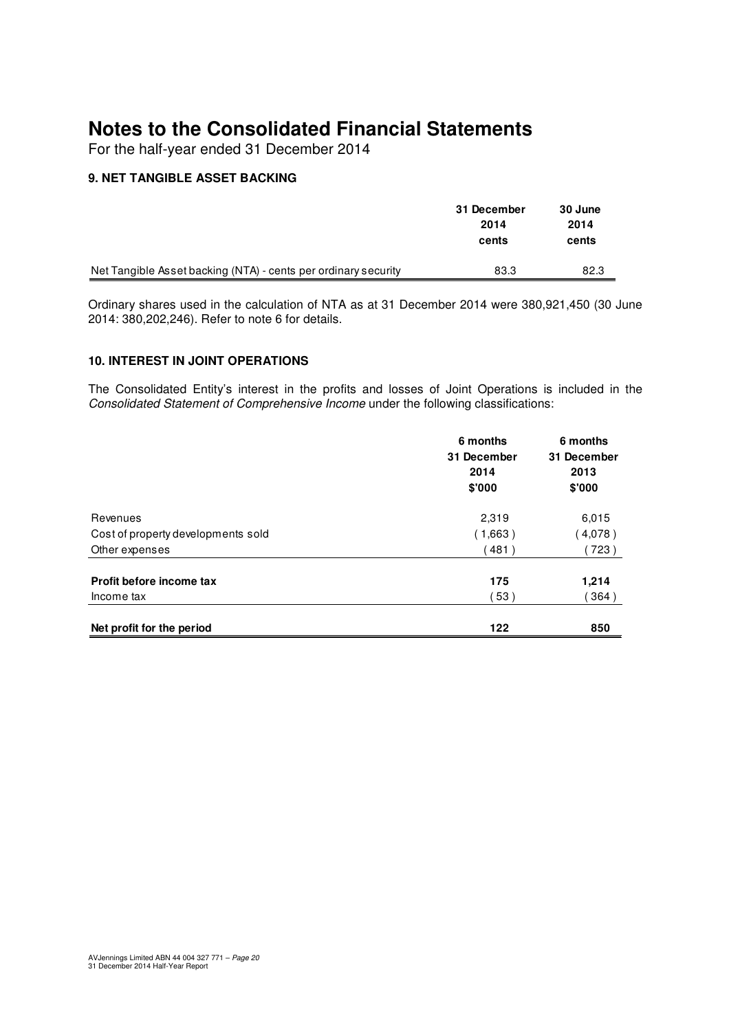For the half-year ended 31 December 2014

#### **9. NET TANGIBLE ASSET BACKING**

|                                                                | 31 December<br>2014<br>cents | 30 June<br>2014<br>cents |
|----------------------------------------------------------------|------------------------------|--------------------------|
| Net Tangible Asset backing (NTA) - cents per ordinary security | 83.3                         | 82.3                     |

Ordinary shares used in the calculation of NTA as at 31 December 2014 were 380,921,450 (30 June 2014: 380,202,246). Refer to note 6 for details.

#### **10. INTEREST IN JOINT OPERATIONS**

The Consolidated Entity's interest in the profits and losses of Joint Operations is included in the Consolidated Statement of Comprehensive Income under the following classifications:

|                                    | 6 months<br>31 December<br>2014<br>\$'000 | 6 months<br>31 December<br>2013<br>\$'000 |
|------------------------------------|-------------------------------------------|-------------------------------------------|
| Revenues                           | 2,319                                     | 6,015                                     |
| Cost of property developments sold | (1,663)                                   | (4,078)                                   |
| Other expenses                     | (481)                                     | 723)                                      |
| Profit before income tax           | 175                                       | 1,214                                     |
| Income tax                         | 53)                                       | 364)                                      |
| Net profit for the period          | 122                                       | 850                                       |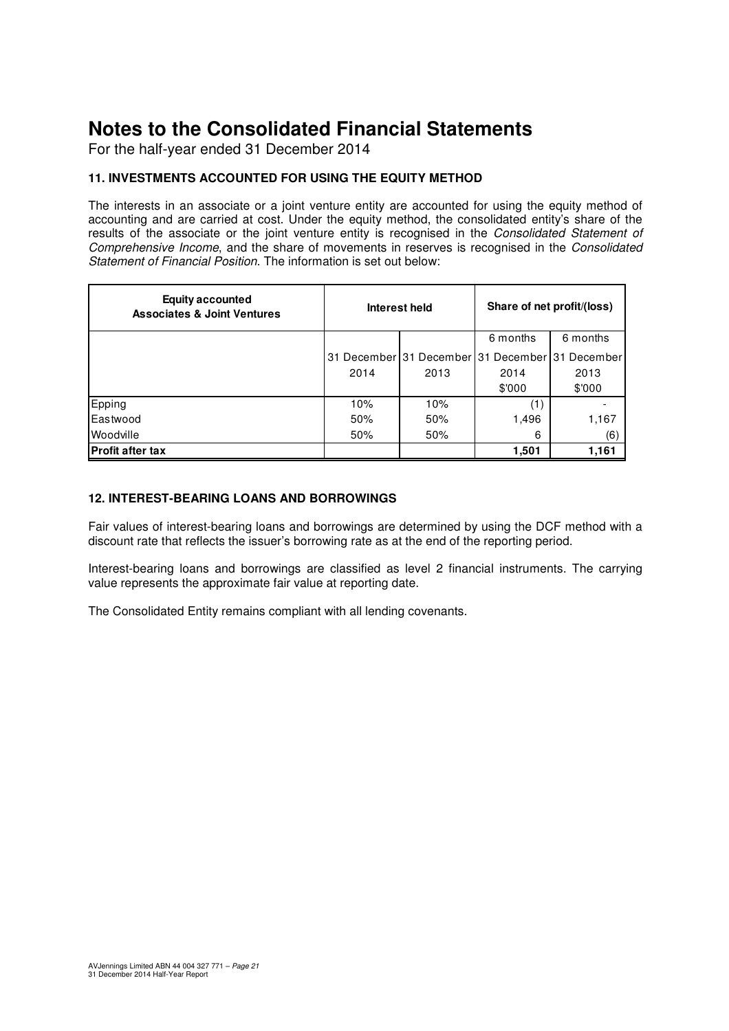For the half-year ended 31 December 2014

#### **11. INVESTMENTS ACCOUNTED FOR USING THE EQUITY METHOD**

The interests in an associate or a joint venture entity are accounted for using the equity method of accounting and are carried at cost. Under the equity method, the consolidated entity's share of the results of the associate or the joint venture entity is recognised in the Consolidated Statement of Comprehensive Income, and the share of movements in reserves is recognised in the Consolidated Statement of Financial Position. The information is set out below:

| <b>Equity accounted</b><br><b>Associates &amp; Joint Ventures</b> |      | Interest held | Share of net profit/(loss)                      |          |  |
|-------------------------------------------------------------------|------|---------------|-------------------------------------------------|----------|--|
|                                                                   |      |               | 6 months                                        | 6 months |  |
|                                                                   |      |               | 31 December 31 December 31 December 31 December |          |  |
|                                                                   | 2014 | 2013          | 2014                                            | 2013     |  |
|                                                                   |      |               | \$'000                                          | \$'000   |  |
| Epping                                                            | 10%  | 10%           | (1)                                             |          |  |
| Eastwood                                                          | 50%  | 50%           | 1,496                                           | 1,167    |  |
| Woodville                                                         | 50%  | 50%           | 6                                               | (6)      |  |
| <b>Profit after tax</b>                                           |      |               | 1,501                                           | 1,161    |  |

#### **12. INTEREST-BEARING LOANS AND BORROWINGS**

Fair values of interest-bearing loans and borrowings are determined by using the DCF method with a discount rate that reflects the issuer's borrowing rate as at the end of the reporting period.

Interest-bearing loans and borrowings are classified as level 2 financial instruments. The carrying value represents the approximate fair value at reporting date.

The Consolidated Entity remains compliant with all lending covenants.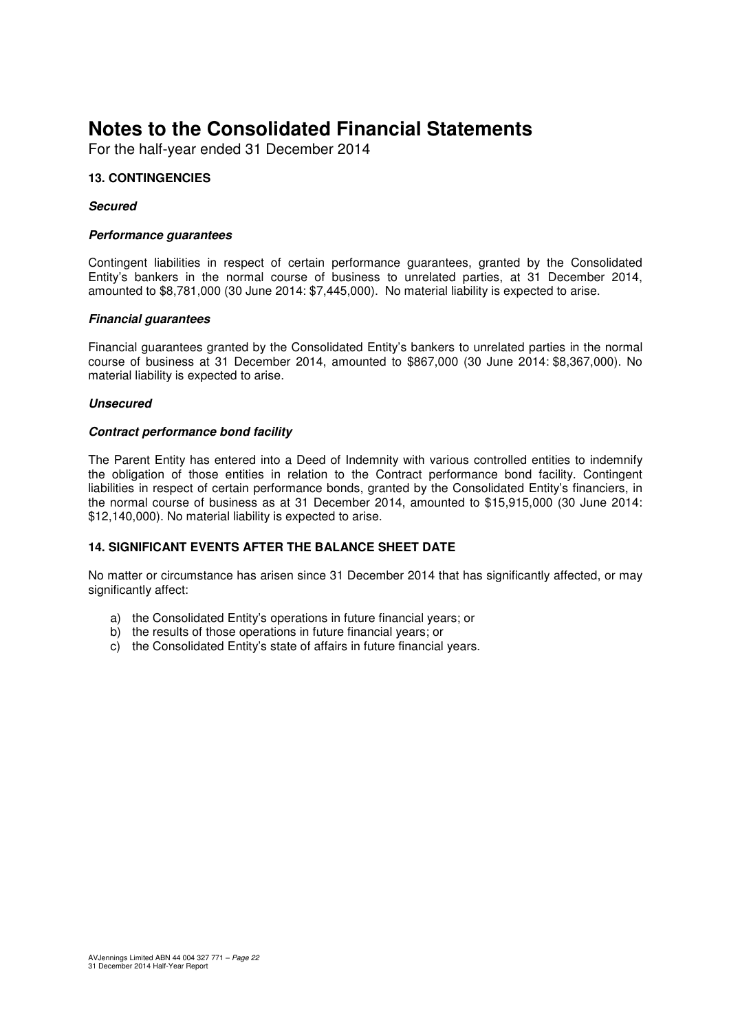For the half-year ended 31 December 2014

#### **13. CONTINGENCIES**

#### **Secured**

#### **Performance guarantees**

Contingent liabilities in respect of certain performance guarantees, granted by the Consolidated Entity's bankers in the normal course of business to unrelated parties, at 31 December 2014, amounted to \$8,781,000 (30 June 2014: \$7,445,000). No material liability is expected to arise.

#### **Financial guarantees**

Financial guarantees granted by the Consolidated Entity's bankers to unrelated parties in the normal course of business at 31 December 2014, amounted to \$867,000 (30 June 2014: \$8,367,000). No material liability is expected to arise.

#### **Unsecured**

#### **Contract performance bond facility**

The Parent Entity has entered into a Deed of Indemnity with various controlled entities to indemnify the obligation of those entities in relation to the Contract performance bond facility. Contingent liabilities in respect of certain performance bonds, granted by the Consolidated Entity's financiers, in the normal course of business as at 31 December 2014, amounted to \$15,915,000 (30 June 2014: \$12,140,000). No material liability is expected to arise.

#### **14. SIGNIFICANT EVENTS AFTER THE BALANCE SHEET DATE**

No matter or circumstance has arisen since 31 December 2014 that has significantly affected, or may significantly affect:

- a) the Consolidated Entity's operations in future financial years; or
- b) the results of those operations in future financial years; or
- c) the Consolidated Entity's state of affairs in future financial years.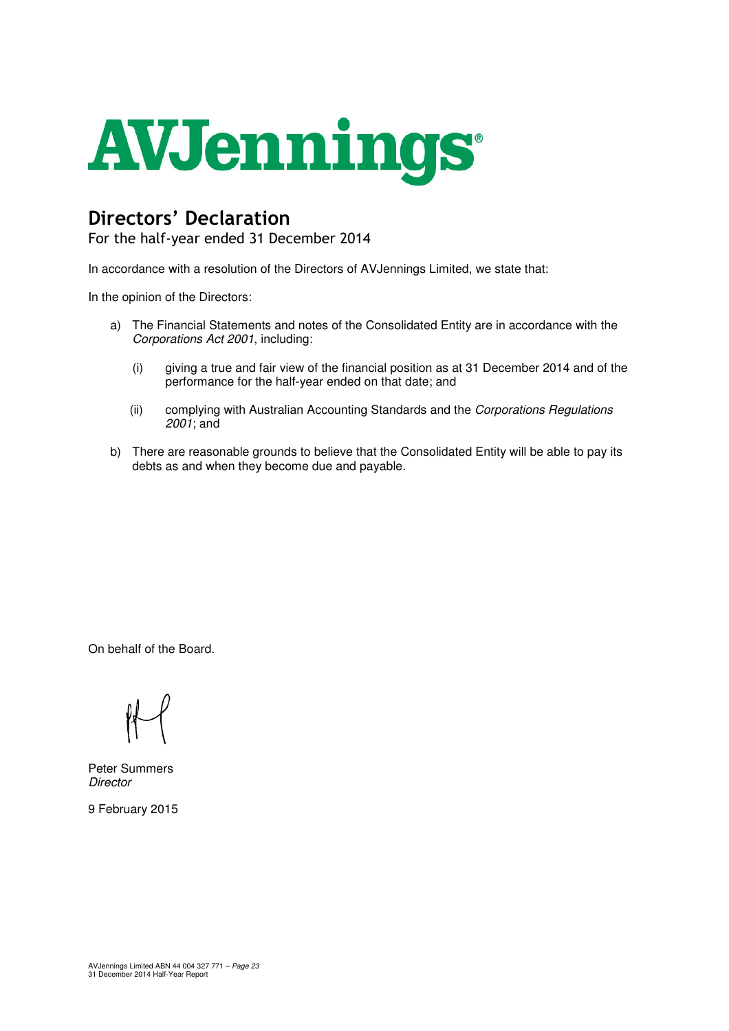

## Directors' Declaration

For the half-year ended 31 December 2014

In accordance with a resolution of the Directors of AVJennings Limited, we state that:

In the opinion of the Directors:

- a) The Financial Statements and notes of the Consolidated Entity are in accordance with the Corporations Act 2001, including:
	- (i) giving a true and fair view of the financial position as at 31 December 2014 and of the performance for the half-year ended on that date; and
	- (ii) complying with Australian Accounting Standards and the Corporations Regulations  $2001$ ; and
- b) There are reasonable grounds to believe that the Consolidated Entity will be able to pay its debts as and when they become due and payable.

On behalf of the Board.

Peter Summers **Director** 

9 February 2015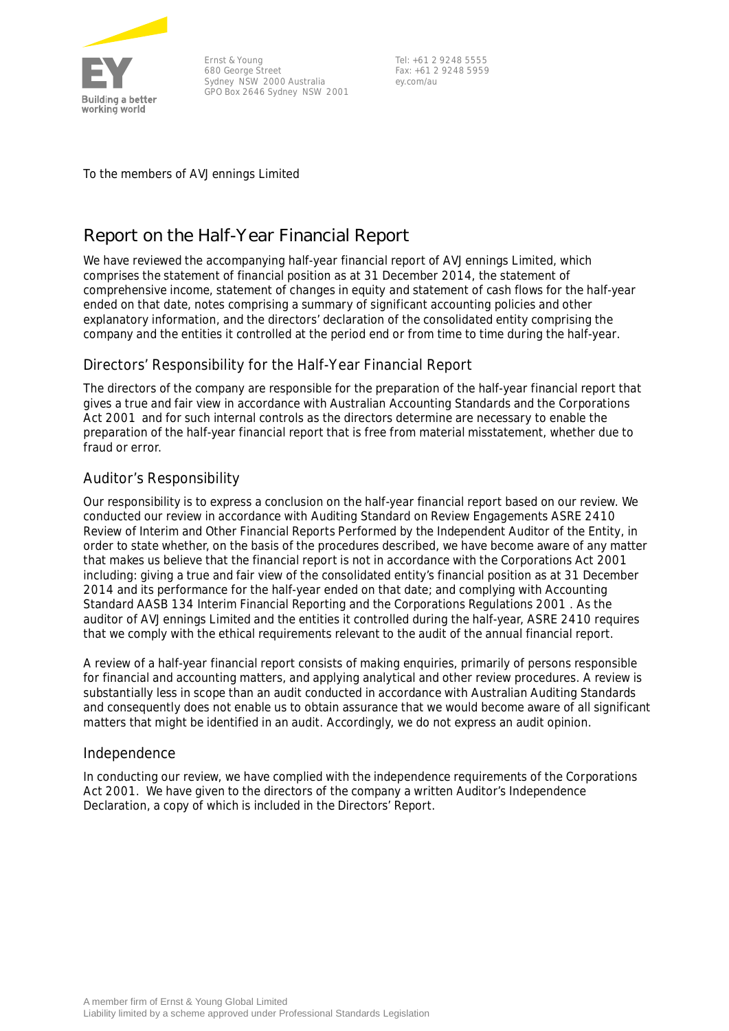

Ernst & Young 680 George Street Sydney NSW 2000 Australia GPO Box 2646 Sydney NSW 2001

Tel: +61 2 9248 5555 Fax: +61 2 9248 5959 ey.com/au

To the members of AVJennings Limited

## **Report on the Half-Year Financial Report**

We have reviewed the accompanying half-year financial report of AVJennings Limited, which comprises the statement of financial position as at 31 December 2014, the statement of comprehensive income, statement of changes in equity and statement of cash flows for the half-year ended on that date, notes comprising a summary of significant accounting policies and other explanatory information, and the directors' declaration of the consolidated entity comprising the company and the entities it controlled at the period end or from time to time during the half-year.

#### Directors' Responsibility for the Half-Year Financial Report

The directors of the company are responsible for the preparation of the half-year financial report that gives a true and fair view in accordance with Australian Accounting Standards and the *Corporations Act 2001* and for such internal controls as the directors determine are necessary to enable the preparation of the half-year financial report that is free from material misstatement, whether due to fraud or error.

#### Auditor's Responsibility

Our responsibility is to express a conclusion on the half-year financial report based on our review. We conducted our review in accordance with Auditing Standard on Review Engagements ASRE 2410 *Review of Interim and Other Financial Reports Performed by the Independent Auditor of the Entity*, in order to state whether, on the basis of the procedures described, we have become aware of any matter that makes us believe that the financial report is not in accordance with the *Corporations Act 2001* including: giving a true and fair view of the consolidated entity's financial position as at 31 December 2014 and its performance for the half-year ended on that date; and complying with Accounting Standard AASB 134 *Interim Financial Reporting* and the *Corporations Regulations 2001* . As the auditor of AVJennings Limited and the entities it controlled during the half-year, ASRE 2410 requires that we comply with the ethical requirements relevant to the audit of the annual financial report.

A review of a half-year financial report consists of making enquiries, primarily of persons responsible for financial and accounting matters, and applying analytical and other review procedures. A review is substantially less in scope than an audit conducted in accordance with Australian Auditing Standards and consequently does not enable us to obtain assurance that we would become aware of all significant matters that might be identified in an audit. Accordingly, we do not express an audit opinion.

#### Independence

In conducting our review, we have complied with the independence requirements of the *Corporations Act 2001*. We have given to the directors of the company a written Auditor's Independence Declaration, a copy of which is included in the Directors' Report.